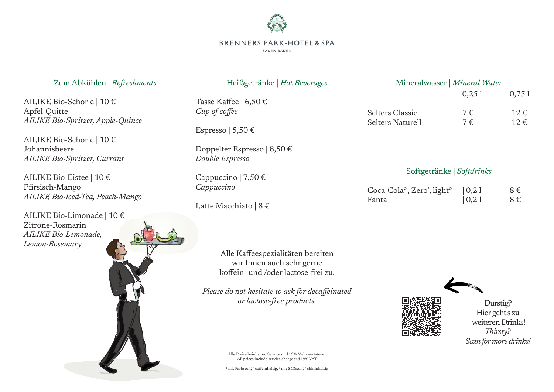

### **BRENNERS PARK-HOTEL& SPA**

**BADEN-BADEN** 

| Zum Abkühlen   Refreshments                                                              | Heißgetränke   Hot Beverages                                                                          | Mineralwasser   Mineral Water       |                        |                                                |
|------------------------------------------------------------------------------------------|-------------------------------------------------------------------------------------------------------|-------------------------------------|------------------------|------------------------------------------------|
| AILIKE Bio-Schorle   10 €<br>Apfel-Quitte<br>AILIKE Bio-Spritzer, Apple-Quince           | Tasse Kaffee   6,50 €<br>Cup of coffee                                                                | Selters Classic<br>Selters Naturell | 0,251<br>$7 \in$<br>7€ | 0,751<br>$12 \in$<br>$12 \in$                  |
| AILIKE Bio-Schorle   10 €<br>Johannisbeere<br>AILIKE Bio-Spritzer, Currant               | Espresso   5,50 €<br>Doppelter Espresso   $8,50 \in$<br>Double Espresso                               |                                     |                        |                                                |
| AILIKE Bio-Eistee   10 €                                                                 | Cappuccino   7,50 €                                                                                   | Softgetränke   Softdrinks           |                        |                                                |
| Pfirsisch-Mango<br>AILIKE Bio-Iced-Tea, Peach-Mango                                      | Cappuccino<br>Latte Macchiato   $8 \in$                                                               | Coca-Cola°, Zero', light°<br>Fanta  | 0,21 <br>0,21          | $8 \in$<br>$8 \in$                             |
| AILIKE Bio-Limonade   10 €<br>Zitrone-Rosmarin<br>AILIKE Bio-Lemonade,<br>Lemon-Rosemary | Alle Kaffeespezialitäten bereiten<br>wir Ihnen auch sehr gerne<br>koffein- und /oder lactose-frei zu. |                                     |                        |                                                |
|                                                                                          | Please do not hesitate to ask for decaffeinated<br>or lactose-free products.                          |                                     |                        | Durstig?<br>Hier geht's zu<br>weiteren Drinks! |

*Thirsty? Scan for more drinks!*

Alle Preise beinhalten Service und 19% Mehrwertsteuer All prices include service charge and 19% VAT

² mit Farbstoff, ° coffeinhaltig, ³ mit Süßstoff, \* chininhaltig

No.